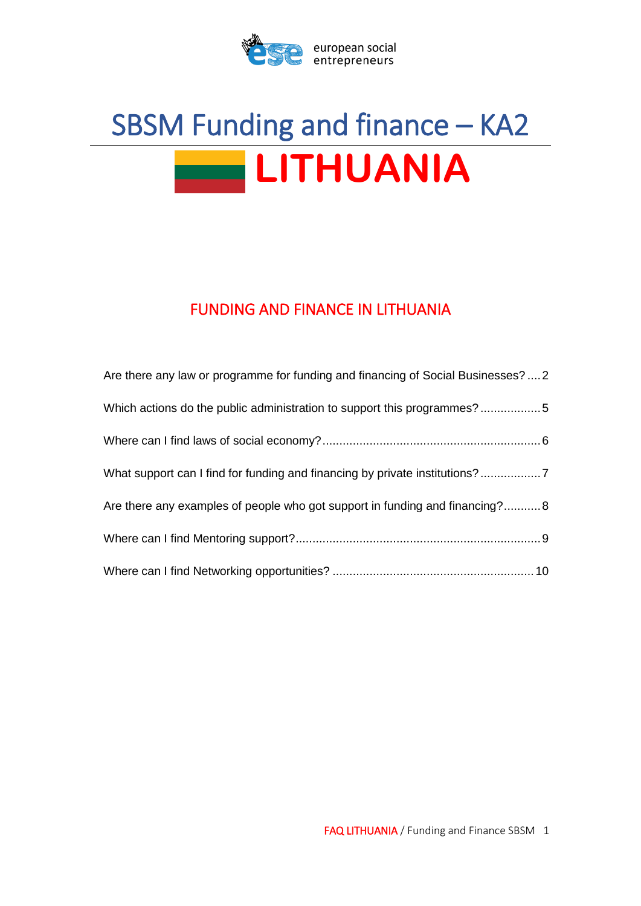

# SBSM Funding and finance – KA2 **LITHUANIA**

## FUNDING AND FINANCE IN LITHUANIA

| Are there any law or programme for funding and financing of Social Businesses?  2 |
|-----------------------------------------------------------------------------------|
| Which actions do the public administration to support this programmes?5           |
|                                                                                   |
| What support can I find for funding and financing by private institutions?        |
| Are there any examples of people who got support in funding and financing? 8      |
|                                                                                   |
|                                                                                   |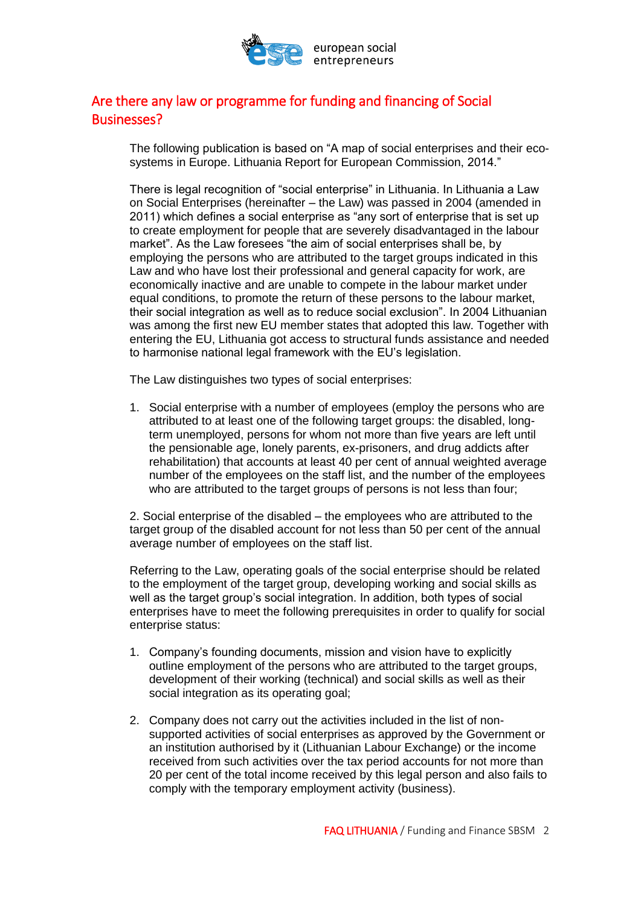

## <span id="page-1-0"></span>Are there any law or programme for funding and financing of Social Businesses?

The following publication is based on "A map of social enterprises and their ecosystems in Europe. Lithuania Report for European Commission, 2014."

There is legal recognition of "social enterprise" in Lithuania. In Lithuania a Law on Social Enterprises (hereinafter – the Law) was passed in 2004 (amended in 2011) which defines a social enterprise as "any sort of enterprise that is set up to create employment for people that are severely disadvantaged in the labour market". As the Law foresees "the aim of social enterprises shall be, by employing the persons who are attributed to the target groups indicated in this Law and who have lost their professional and general capacity for work, are economically inactive and are unable to compete in the labour market under equal conditions, to promote the return of these persons to the labour market, their social integration as well as to reduce social exclusion". In 2004 Lithuanian was among the first new EU member states that adopted this law. Together with entering the EU, Lithuania got access to structural funds assistance and needed to harmonise national legal framework with the EU's legislation.

The Law distinguishes two types of social enterprises:

1. Social enterprise with a number of employees (employ the persons who are attributed to at least one of the following target groups: the disabled, longterm unemployed, persons for whom not more than five years are left until the pensionable age, lonely parents, ex-prisoners, and drug addicts after rehabilitation) that accounts at least 40 per cent of annual weighted average number of the employees on the staff list, and the number of the employees who are attributed to the target groups of persons is not less than four;

2. Social enterprise of the disabled – the employees who are attributed to the target group of the disabled account for not less than 50 per cent of the annual average number of employees on the staff list.

Referring to the Law, operating goals of the social enterprise should be related to the employment of the target group, developing working and social skills as well as the target group's social integration. In addition, both types of social enterprises have to meet the following prerequisites in order to qualify for social enterprise status:

- 1. Company's founding documents, mission and vision have to explicitly outline employment of the persons who are attributed to the target groups, development of their working (technical) and social skills as well as their social integration as its operating goal:
- 2. Company does not carry out the activities included in the list of nonsupported activities of social enterprises as approved by the Government or an institution authorised by it (Lithuanian Labour Exchange) or the income received from such activities over the tax period accounts for not more than 20 per cent of the total income received by this legal person and also fails to comply with the temporary employment activity (business).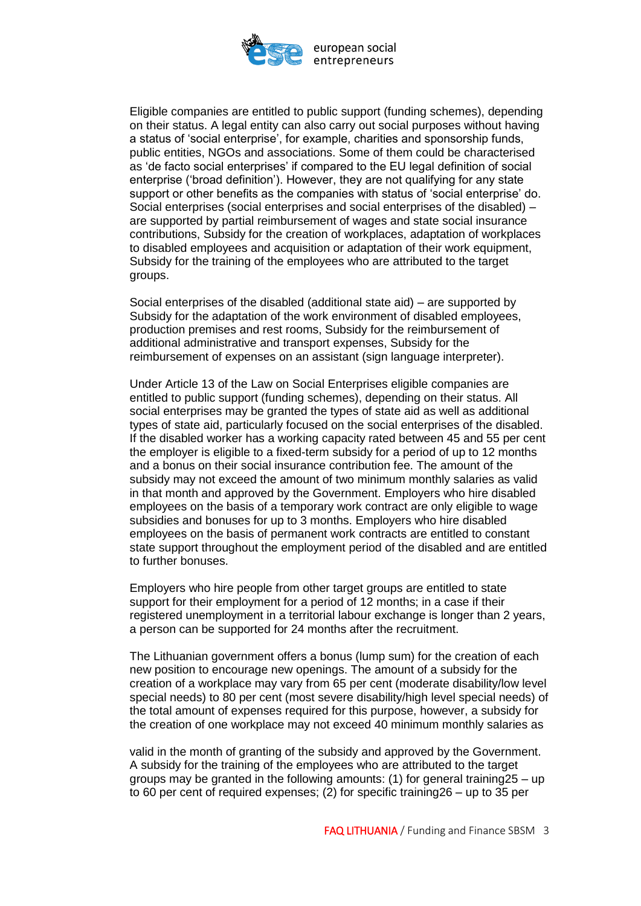

Eligible companies are entitled to public support (funding schemes), depending on their status. A legal entity can also carry out social purposes without having a status of 'social enterprise', for example, charities and sponsorship funds, public entities, NGOs and associations. Some of them could be characterised as 'de facto social enterprises' if compared to the EU legal definition of social enterprise ('broad definition'). However, they are not qualifying for any state support or other benefits as the companies with status of 'social enterprise' do. Social enterprises (social enterprises and social enterprises of the disabled) – are supported by partial reimbursement of wages and state social insurance contributions, Subsidy for the creation of workplaces, adaptation of workplaces to disabled employees and acquisition or adaptation of their work equipment, Subsidy for the training of the employees who are attributed to the target groups.

Social enterprises of the disabled (additional state aid) – are supported by Subsidy for the adaptation of the work environment of disabled employees, production premises and rest rooms, Subsidy for the reimbursement of additional administrative and transport expenses, Subsidy for the reimbursement of expenses on an assistant (sign language interpreter).

Under Article 13 of the Law on Social Enterprises eligible companies are entitled to public support (funding schemes), depending on their status. All social enterprises may be granted the types of state aid as well as additional types of state aid, particularly focused on the social enterprises of the disabled. If the disabled worker has a working capacity rated between 45 and 55 per cent the employer is eligible to a fixed-term subsidy for a period of up to 12 months and a bonus on their social insurance contribution fee. The amount of the subsidy may not exceed the amount of two minimum monthly salaries as valid in that month and approved by the Government. Employers who hire disabled employees on the basis of a temporary work contract are only eligible to wage subsidies and bonuses for up to 3 months. Employers who hire disabled employees on the basis of permanent work contracts are entitled to constant state support throughout the employment period of the disabled and are entitled to further bonuses.

Employers who hire people from other target groups are entitled to state support for their employment for a period of 12 months; in a case if their registered unemployment in a territorial labour exchange is longer than 2 years, a person can be supported for 24 months after the recruitment.

The Lithuanian government offers a bonus (lump sum) for the creation of each new position to encourage new openings. The amount of a subsidy for the creation of a workplace may vary from 65 per cent (moderate disability/low level special needs) to 80 per cent (most severe disability/high level special needs) of the total amount of expenses required for this purpose, however, a subsidy for the creation of one workplace may not exceed 40 minimum monthly salaries as

valid in the month of granting of the subsidy and approved by the Government. A subsidy for the training of the employees who are attributed to the target groups may be granted in the following amounts: (1) for general training25 – up to 60 per cent of required expenses; (2) for specific training26 – up to 35 per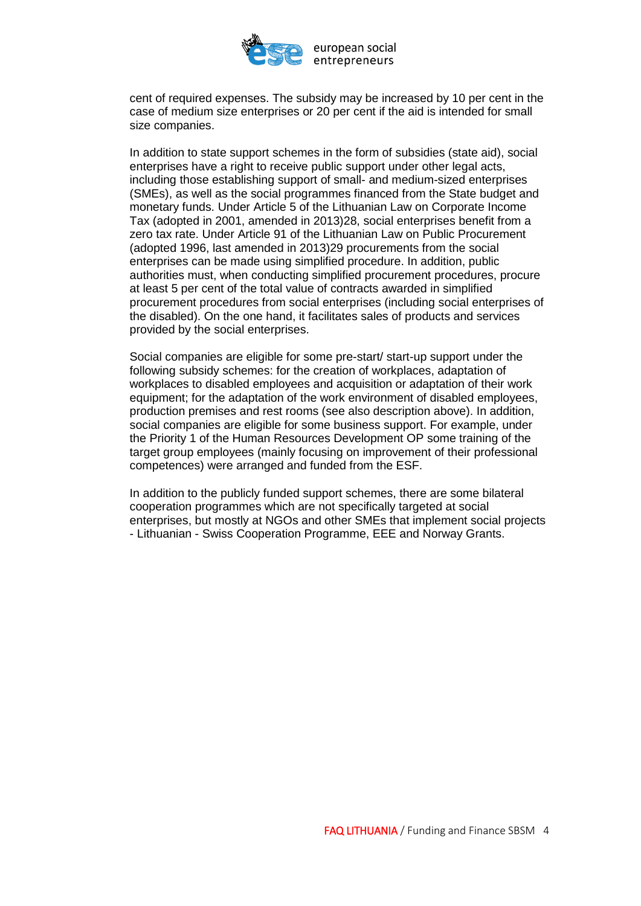

cent of required expenses. The subsidy may be increased by 10 per cent in the case of medium size enterprises or 20 per cent if the aid is intended for small size companies.

In addition to state support schemes in the form of subsidies (state aid), social enterprises have a right to receive public support under other legal acts, including those establishing support of small- and medium-sized enterprises (SMEs), as well as the social programmes financed from the State budget and monetary funds. Under Article 5 of the Lithuanian Law on Corporate Income Tax (adopted in 2001, amended in 2013)28, social enterprises benefit from a zero tax rate. Under Article 91 of the Lithuanian Law on Public Procurement (adopted 1996, last amended in 2013)29 procurements from the social enterprises can be made using simplified procedure. In addition, public authorities must, when conducting simplified procurement procedures, procure at least 5 per cent of the total value of contracts awarded in simplified procurement procedures from social enterprises (including social enterprises of the disabled). On the one hand, it facilitates sales of products and services provided by the social enterprises.

Social companies are eligible for some pre-start/ start-up support under the following subsidy schemes: for the creation of workplaces, adaptation of workplaces to disabled employees and acquisition or adaptation of their work equipment; for the adaptation of the work environment of disabled employees, production premises and rest rooms (see also description above). In addition, social companies are eligible for some business support. For example, under the Priority 1 of the Human Resources Development OP some training of the target group employees (mainly focusing on improvement of their professional competences) were arranged and funded from the ESF.

In addition to the publicly funded support schemes, there are some bilateral cooperation programmes which are not specifically targeted at social enterprises, but mostly at NGOs and other SMEs that implement social projects - Lithuanian - Swiss Cooperation Programme, EEE and Norway Grants.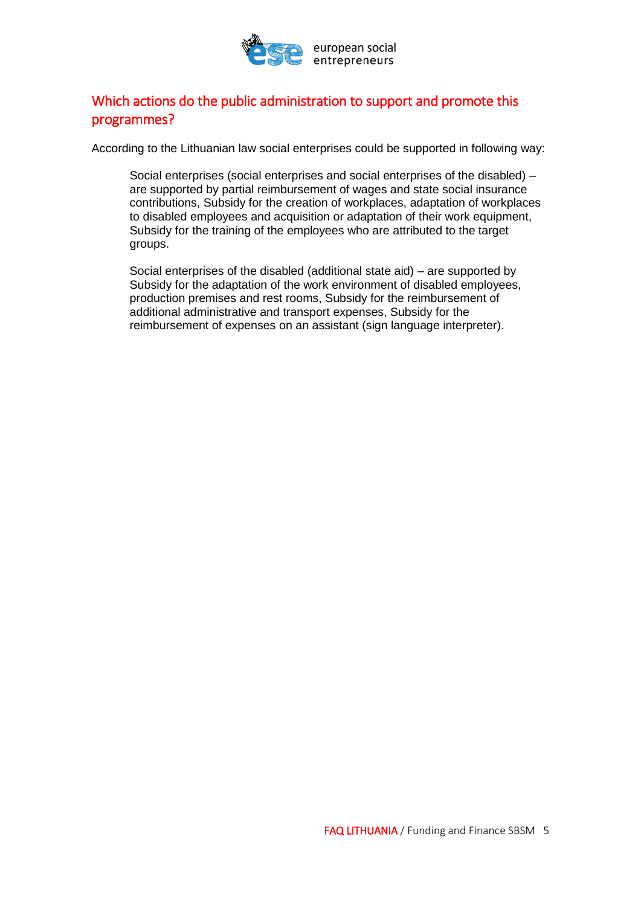

## <span id="page-4-0"></span>Which actions do the public administration to support and promote this programmes?

According to the Lithuanian law social enterprises could be supported in following way:

Social enterprises (social enterprises and social enterprises of the disabled) – are supported by partial reimbursement of wages and state social insurance contributions, Subsidy for the creation of workplaces, adaptation of workplaces to disabled employees and acquisition or adaptation of their work equipment, Subsidy for the training of the employees who are attributed to the target groups.

Social enterprises of the disabled (additional state aid) – are supported by Subsidy for the adaptation of the work environment of disabled employees, production premises and rest rooms, Subsidy for the reimbursement of additional administrative and transport expenses, Subsidy for the reimbursement of expenses on an assistant (sign language interpreter).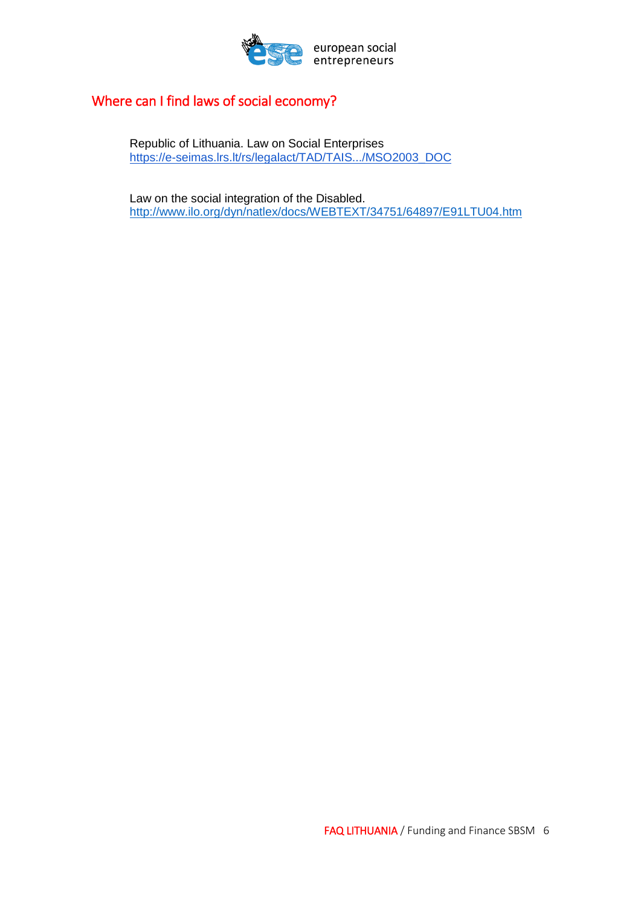

## <span id="page-5-0"></span>Where can I find laws of social economy?

Republic of Lithuania. Law on Social Enterprises [https://e-seimas.lrs.lt/rs/legalact/TAD/TAIS.../MSO2003\\_DOC](https://e-seimas.lrs.lt/rs/legalact/TAD/TAIS.../MSO2003_DOC)

Law on the social integration of the Disabled. <http://www.ilo.org/dyn/natlex/docs/WEBTEXT/34751/64897/E91LTU04.htm>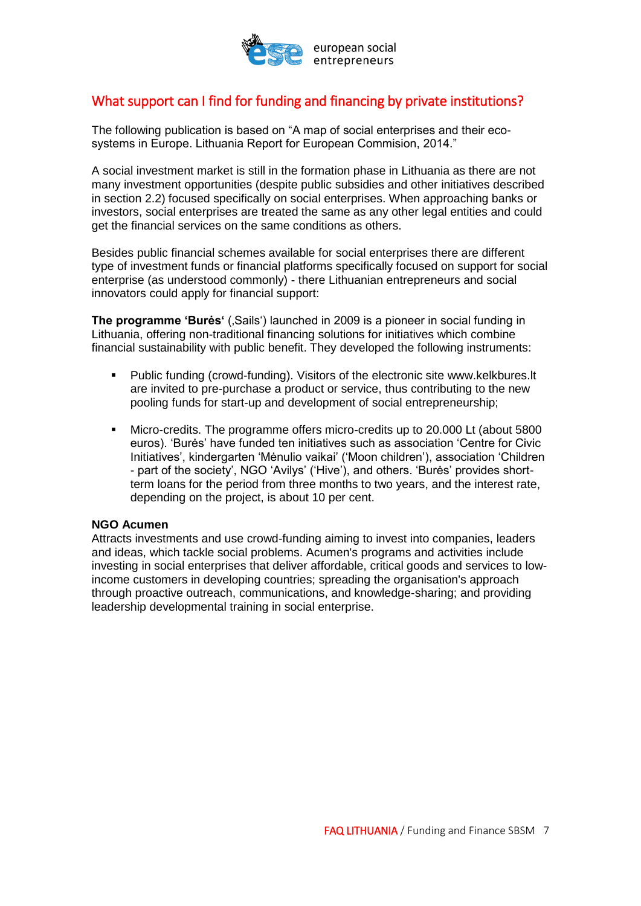

## <span id="page-6-0"></span>What support can I find for funding and financing by private institutions?

The following publication is based on "A map of social enterprises and their ecosystems in Europe. Lithuania Report for European Commision, 2014."

A social investment market is still in the formation phase in Lithuania as there are not many investment opportunities (despite public subsidies and other initiatives described in section 2.2) focused specifically on social enterprises. When approaching banks or investors, social enterprises are treated the same as any other legal entities and could get the financial services on the same conditions as others.

Besides public financial schemes available for social enterprises there are different type of investment funds or financial platforms specifically focused on support for social enterprise (as understood commonly) - there Lithuanian entrepreneurs and social innovators could apply for financial support:

**The programme 'Burės'** (,Sails') launched in 2009 is a pioneer in social funding in Lithuania, offering non-traditional financing solutions for initiatives which combine financial sustainability with public benefit. They developed the following instruments:

- **Public funding (crowd-funding). Visitors of the electronic site www.kelkbures.lt** are invited to pre-purchase a product or service, thus contributing to the new pooling funds for start-up and development of social entrepreneurship;
- Micro-credits. The programme offers micro-credits up to 20.000 Lt (about 5800 euros). 'Burės' have funded ten initiatives such as association 'Centre for Civic Initiatives', kindergarten 'Mėnulio vaikai' ('Moon children'), association 'Children - part of the society', NGO 'Avilys' ('Hive'), and others. 'Burės' provides shortterm loans for the period from three months to two years, and the interest rate, depending on the project, is about 10 per cent.

#### **NGO Acumen**

Attracts investments and use crowd-funding aiming to invest into companies, leaders and ideas, which tackle social problems. Acumen's programs and activities include investing in social enterprises that deliver affordable, critical goods and services to lowincome customers in developing countries; spreading the organisation's approach through proactive outreach, communications, and knowledge-sharing; and providing leadership developmental training in social enterprise.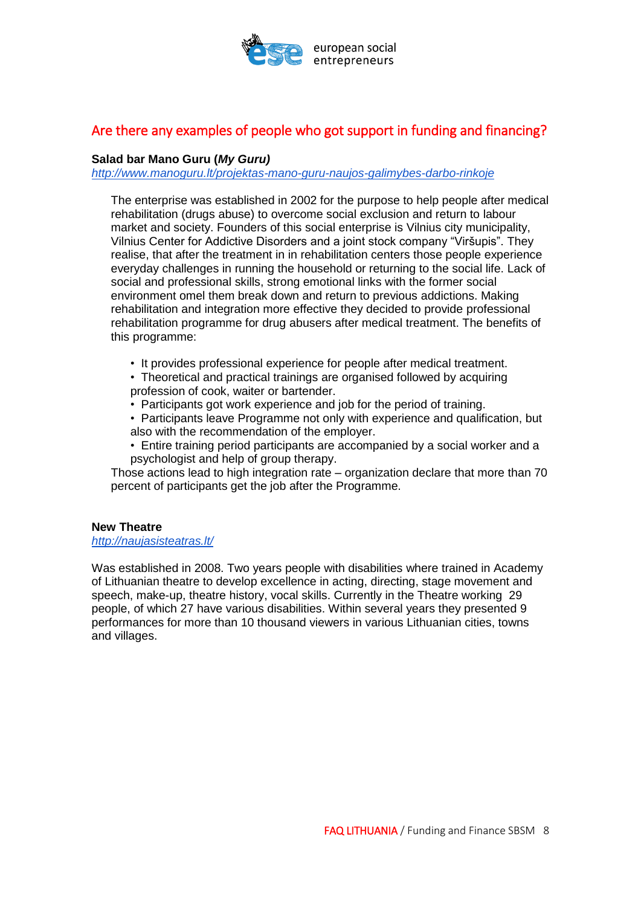

## <span id="page-7-0"></span>Are there any examples of people who got support in funding and financing?

#### **Salad bar Mano Guru (***My Guru)*

*<http://www.manoguru.lt/projektas-mano-guru-naujos-galimybes-darbo-rinkoje>*

The enterprise was established in 2002 for the purpose to help people after medical rehabilitation (drugs abuse) to overcome social exclusion and return to labour market and society. Founders of this social enterprise is Vilnius city municipality, Vilnius Center for Addictive Disorders and a joint stock company "Viršupis". They realise, that after the treatment in in rehabilitation centers those people experience everyday challenges in running the household or returning to the social life. Lack of social and professional skills, strong emotional links with the former social environment omel them break down and return to previous addictions. Making rehabilitation and integration more effective they decided to provide professional rehabilitation programme for drug abusers after medical treatment. The benefits of this programme:

• It provides professional experience for people after medical treatment.

• Theoretical and practical trainings are organised followed by acquiring profession of cook, waiter or bartender.

- Participants got work experience and job for the period of training.
- Participants leave Programme not only with experience and qualification, but also with the recommendation of the employer.
- Entire training period participants are accompanied by a social worker and a psychologist and help of group therapy.

Those actions lead to high integration rate – organization declare that more than 70 percent of participants get the job after the Programme.

#### **New Theatre**

*<http://naujasisteatras.lt/>*

Was established in 2008. Two years people with disabilities where trained in Academy of Lithuanian theatre to develop excellence in acting, directing, stage movement and speech, make-up, theatre history, vocal skills. Currently in the Theatre working 29 people, of which 27 have various disabilities. Within several years they presented 9 performances for more than 10 thousand viewers in various Lithuanian cities, towns and villages.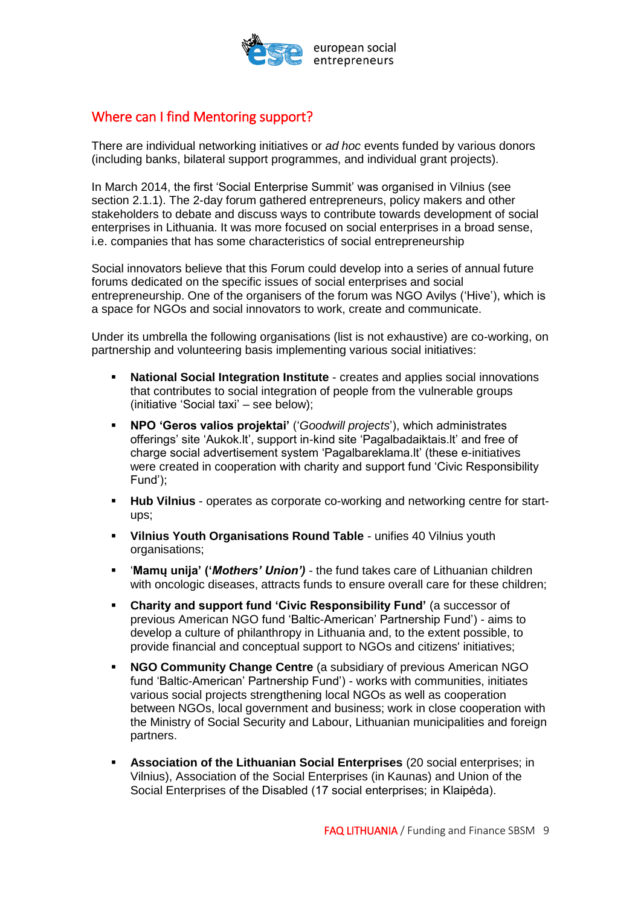

### <span id="page-8-0"></span>Where can I find Mentoring support?

There are individual networking initiatives or *ad hoc* events funded by various donors (including banks, bilateral support programmes, and individual grant projects).

In March 2014, the first 'Social Enterprise Summit' was organised in Vilnius (see section 2.1.1). The 2-day forum gathered entrepreneurs, policy makers and other stakeholders to debate and discuss ways to contribute towards development of social enterprises in Lithuania. It was more focused on social enterprises in a broad sense, i.e. companies that has some characteristics of social entrepreneurship

Social innovators believe that this Forum could develop into a series of annual future forums dedicated on the specific issues of social enterprises and social entrepreneurship. One of the organisers of the forum was NGO Avilys ('Hive'), which is a space for NGOs and social innovators to work, create and communicate.

Under its umbrella the following organisations (list is not exhaustive) are co-working, on partnership and volunteering basis implementing various social initiatives:

- **National Social Integration Institute** creates and applies social innovations that contributes to social integration of people from the vulnerable groups (initiative 'Social taxi' – see below);
- **NPO 'Geros valios projektai'** ('*Goodwill projects*'), which administrates offerings' site 'Aukok.lt', support in-kind site 'Pagalbadaiktais.lt' and free of charge social advertisement system 'Pagalbareklama.lt' (these e-initiatives were created in cooperation with charity and support fund 'Civic Responsibility Fund');
- **Hub Vilnius** operates as corporate co-working and networking centre for startups;
- **Vilnius Youth Organisations Round Table** unifies 40 Vilnius youth organisations;
- '**Mamų unija' ('***Mothers' Union') -* the fund takes care of Lithuanian children with oncologic diseases, attracts funds to ensure overall care for these children;
- **Charity and support fund 'Civic Responsibility Fund'** (a successor of previous American NGO fund 'Baltic-American' Partnership Fund') - aims to develop a culture of philanthropy in Lithuania and, to the extent possible, to provide financial and conceptual support to NGOs and citizens' initiatives;
- **NGO Community Change Centre** (a subsidiary of previous American NGO fund 'Baltic-American' Partnership Fund') - works with communities, initiates various social projects strengthening local NGOs as well as cooperation between NGOs, local government and business; work in close cooperation with the Ministry of Social Security and Labour, Lithuanian municipalities and foreign partners.
- **Association of the Lithuanian Social Enterprises** (20 social enterprises; in Vilnius), Association of the Social Enterprises (in Kaunas) and Union of the Social Enterprises of the Disabled (17 social enterprises; in Klaipėda).